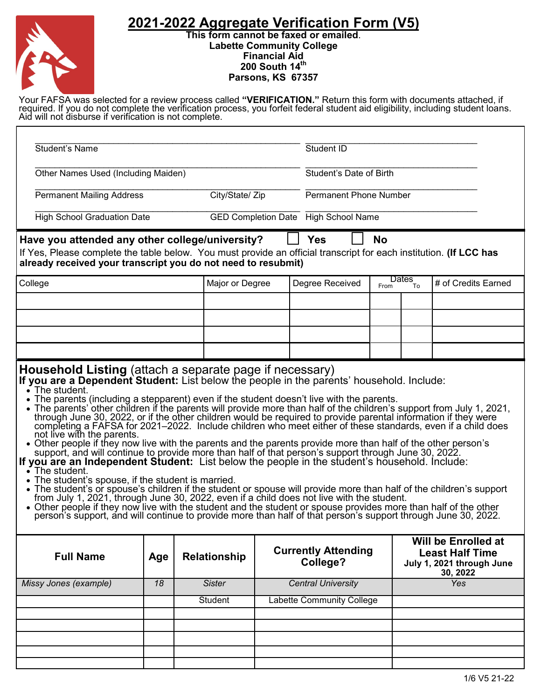## **2021-2022 Aggregate Verification Form (V5)**



**This form cannot be faxed or emailed**. **Labette Community College Financial Aid 200 South 14th Parsons, KS 67357**

Your FAFSA was selected for a review process called **"VERIFICATION."** Return this form with documents attached, if required. If you do not complete the verification process, you forfeit federal student aid eligibility, including student loans. Aid will not disburse if verification is not complete.

| <b>Student's Name</b>                                                                                                                                                                                                                                                                                                                                                                                                                                                                                                                                                                                                                                                                                                                                                                                                                                                                                                                                                                                                                                                                                                                                                                                                                                                                                                                                                |                 |                     |                 |                                  | Student ID                             |                               |            |                                                                                        |                     |
|----------------------------------------------------------------------------------------------------------------------------------------------------------------------------------------------------------------------------------------------------------------------------------------------------------------------------------------------------------------------------------------------------------------------------------------------------------------------------------------------------------------------------------------------------------------------------------------------------------------------------------------------------------------------------------------------------------------------------------------------------------------------------------------------------------------------------------------------------------------------------------------------------------------------------------------------------------------------------------------------------------------------------------------------------------------------------------------------------------------------------------------------------------------------------------------------------------------------------------------------------------------------------------------------------------------------------------------------------------------------|-----------------|---------------------|-----------------|----------------------------------|----------------------------------------|-------------------------------|------------|----------------------------------------------------------------------------------------|---------------------|
| Other Names Used (Including Maiden)                                                                                                                                                                                                                                                                                                                                                                                                                                                                                                                                                                                                                                                                                                                                                                                                                                                                                                                                                                                                                                                                                                                                                                                                                                                                                                                                  |                 |                     |                 |                                  |                                        | Student's Date of Birth       |            |                                                                                        |                     |
| <b>Permanent Mailing Address</b>                                                                                                                                                                                                                                                                                                                                                                                                                                                                                                                                                                                                                                                                                                                                                                                                                                                                                                                                                                                                                                                                                                                                                                                                                                                                                                                                     |                 |                     | City/State/ Zip |                                  |                                        | <b>Permanent Phone Number</b> |            |                                                                                        |                     |
| <b>High School Graduation Date</b>                                                                                                                                                                                                                                                                                                                                                                                                                                                                                                                                                                                                                                                                                                                                                                                                                                                                                                                                                                                                                                                                                                                                                                                                                                                                                                                                   |                 |                     |                 |                                  | GED Completion Date High School Name   |                               |            |                                                                                        |                     |
| Have you attended any other college/university?<br>If Yes, Please complete the table below. You must provide an official transcript for each institution. (If LCC has                                                                                                                                                                                                                                                                                                                                                                                                                                                                                                                                                                                                                                                                                                                                                                                                                                                                                                                                                                                                                                                                                                                                                                                                |                 |                     |                 |                                  | <b>Yes</b>                             |                               | <b>No</b>  |                                                                                        |                     |
| already received your transcript you do not need to resubmit)                                                                                                                                                                                                                                                                                                                                                                                                                                                                                                                                                                                                                                                                                                                                                                                                                                                                                                                                                                                                                                                                                                                                                                                                                                                                                                        |                 |                     |                 |                                  |                                        |                               |            |                                                                                        |                     |
| College                                                                                                                                                                                                                                                                                                                                                                                                                                                                                                                                                                                                                                                                                                                                                                                                                                                                                                                                                                                                                                                                                                                                                                                                                                                                                                                                                              |                 |                     | Major or Degree |                                  | Degree Received                        |                               | From       | Dates<br>To                                                                            | # of Credits Earned |
|                                                                                                                                                                                                                                                                                                                                                                                                                                                                                                                                                                                                                                                                                                                                                                                                                                                                                                                                                                                                                                                                                                                                                                                                                                                                                                                                                                      |                 |                     |                 |                                  |                                        |                               |            |                                                                                        |                     |
|                                                                                                                                                                                                                                                                                                                                                                                                                                                                                                                                                                                                                                                                                                                                                                                                                                                                                                                                                                                                                                                                                                                                                                                                                                                                                                                                                                      |                 |                     |                 |                                  |                                        |                               |            |                                                                                        |                     |
|                                                                                                                                                                                                                                                                                                                                                                                                                                                                                                                                                                                                                                                                                                                                                                                                                                                                                                                                                                                                                                                                                                                                                                                                                                                                                                                                                                      |                 |                     |                 |                                  |                                        |                               |            |                                                                                        |                     |
|                                                                                                                                                                                                                                                                                                                                                                                                                                                                                                                                                                                                                                                                                                                                                                                                                                                                                                                                                                                                                                                                                                                                                                                                                                                                                                                                                                      |                 |                     |                 |                                  |                                        |                               |            |                                                                                        |                     |
| $\sim$ The student.<br>The parents (including a stepparent) even if the student doesn't live with the parents.<br>• The parents' other children if the parents will provide more than half of the children's support from July 1, 2021,<br>through June 30, 2022, or if the other children would be required to provide parental information if they were<br>completing a FAFSA for 2021–2022. Include children who meet either of these standards, even if a child does<br>not live with the parents.<br>• Other people if they now live with the parents and the parents provide more than half of the other person's<br>support, and will continue to provide more than half of that person's support through June 30, 2022.<br>If you are an Independent Student: List below the people in the student's household. Include:<br>$\zeta$ The student.<br>• The student's spouse, if the student is married.<br>The student's or spouse's children if the student or spouse will provide more than half of the children's support<br>from July 1, 2021, through June 30, 2022, even if a child does not live with the student.<br>• Other people if they now live with the student and the student or spouse provides more than half of the other<br>person's support, and will continue to provide more than half of that person's support through June 30, 2022. |                 |                     |                 |                                  |                                        |                               |            |                                                                                        |                     |
| <b>Full Name</b>                                                                                                                                                                                                                                                                                                                                                                                                                                                                                                                                                                                                                                                                                                                                                                                                                                                                                                                                                                                                                                                                                                                                                                                                                                                                                                                                                     | Age             | <b>Relationship</b> |                 |                                  | <b>Currently Attending</b><br>College? |                               |            | Will be Enrolled at<br><b>Least Half Time</b><br>July 1, 2021 through June<br>30, 2022 |                     |
| Missy Jones (example)                                                                                                                                                                                                                                                                                                                                                                                                                                                                                                                                                                                                                                                                                                                                                                                                                                                                                                                                                                                                                                                                                                                                                                                                                                                                                                                                                | $\overline{18}$ | <b>Sister</b>       |                 | <b>Central University</b>        |                                        |                               | <b>Yes</b> |                                                                                        |                     |
|                                                                                                                                                                                                                                                                                                                                                                                                                                                                                                                                                                                                                                                                                                                                                                                                                                                                                                                                                                                                                                                                                                                                                                                                                                                                                                                                                                      |                 | Student             |                 | <b>Labette Community College</b> |                                        |                               |            |                                                                                        |                     |
|                                                                                                                                                                                                                                                                                                                                                                                                                                                                                                                                                                                                                                                                                                                                                                                                                                                                                                                                                                                                                                                                                                                                                                                                                                                                                                                                                                      |                 |                     |                 |                                  |                                        |                               |            |                                                                                        |                     |
|                                                                                                                                                                                                                                                                                                                                                                                                                                                                                                                                                                                                                                                                                                                                                                                                                                                                                                                                                                                                                                                                                                                                                                                                                                                                                                                                                                      |                 |                     |                 |                                  |                                        |                               |            |                                                                                        |                     |
|                                                                                                                                                                                                                                                                                                                                                                                                                                                                                                                                                                                                                                                                                                                                                                                                                                                                                                                                                                                                                                                                                                                                                                                                                                                                                                                                                                      |                 |                     |                 |                                  |                                        |                               |            |                                                                                        |                     |
|                                                                                                                                                                                                                                                                                                                                                                                                                                                                                                                                                                                                                                                                                                                                                                                                                                                                                                                                                                                                                                                                                                                                                                                                                                                                                                                                                                      |                 |                     |                 |                                  |                                        |                               |            |                                                                                        | 1/6 V5 21-22        |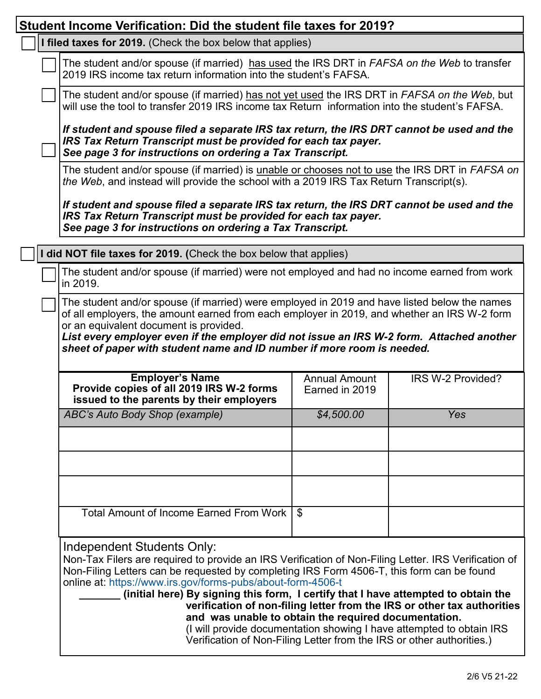| Student Income Verification: Did the student file taxes for 2019?                                                                                                                                                                                                                                                                                                                                                                                                                                                                                                                                                                                                        |                                        |                   |  |  |  |  |  |
|--------------------------------------------------------------------------------------------------------------------------------------------------------------------------------------------------------------------------------------------------------------------------------------------------------------------------------------------------------------------------------------------------------------------------------------------------------------------------------------------------------------------------------------------------------------------------------------------------------------------------------------------------------------------------|----------------------------------------|-------------------|--|--|--|--|--|
| I filed taxes for 2019. (Check the box below that applies)                                                                                                                                                                                                                                                                                                                                                                                                                                                                                                                                                                                                               |                                        |                   |  |  |  |  |  |
| The student and/or spouse (if married) has used the IRS DRT in FAFSA on the Web to transfer<br>2019 IRS income tax return information into the student's FAFSA.                                                                                                                                                                                                                                                                                                                                                                                                                                                                                                          |                                        |                   |  |  |  |  |  |
| The student and/or spouse (if married) has not yet used the IRS DRT in FAFSA on the Web, but<br>will use the tool to transfer 2019 IRS income tax Return information into the student's FAFSA.                                                                                                                                                                                                                                                                                                                                                                                                                                                                           |                                        |                   |  |  |  |  |  |
| If student and spouse filed a separate IRS tax return, the IRS DRT cannot be used and the<br>IRS Tax Return Transcript must be provided for each tax payer.<br>See page 3 for instructions on ordering a Tax Transcript.                                                                                                                                                                                                                                                                                                                                                                                                                                                 |                                        |                   |  |  |  |  |  |
| The student and/or spouse (if married) is unable or chooses not to use the IRS DRT in FAFSA on<br>the Web, and instead will provide the school with a 2019 IRS Tax Return Transcript(s).                                                                                                                                                                                                                                                                                                                                                                                                                                                                                 |                                        |                   |  |  |  |  |  |
| If student and spouse filed a separate IRS tax return, the IRS DRT cannot be used and the<br>IRS Tax Return Transcript must be provided for each tax payer.<br>See page 3 for instructions on ordering a Tax Transcript.                                                                                                                                                                                                                                                                                                                                                                                                                                                 |                                        |                   |  |  |  |  |  |
| I did NOT file taxes for 2019. (Check the box below that applies)                                                                                                                                                                                                                                                                                                                                                                                                                                                                                                                                                                                                        |                                        |                   |  |  |  |  |  |
| The student and/or spouse (if married) were not employed and had no income earned from work<br>in 2019.                                                                                                                                                                                                                                                                                                                                                                                                                                                                                                                                                                  |                                        |                   |  |  |  |  |  |
| The student and/or spouse (if married) were employed in 2019 and have listed below the names<br>of all employers, the amount earned from each employer in 2019, and whether an IRS W-2 form<br>or an equivalent document is provided.<br>List every employer even if the employer did not issue an IRS W-2 form. Attached another<br>sheet of paper with student name and ID number if more room is needed.                                                                                                                                                                                                                                                              |                                        |                   |  |  |  |  |  |
| <b>Employer's Name</b><br>Provide copies of all 2019 IRS W-2 forms<br>issued to the parents by their employers                                                                                                                                                                                                                                                                                                                                                                                                                                                                                                                                                           | <b>Annual Amount</b><br>Earned in 2019 | IRS W-2 Provided? |  |  |  |  |  |
| ABC's Auto Body Shop (example)                                                                                                                                                                                                                                                                                                                                                                                                                                                                                                                                                                                                                                           | \$4,500.00                             | Yes               |  |  |  |  |  |
|                                                                                                                                                                                                                                                                                                                                                                                                                                                                                                                                                                                                                                                                          |                                        |                   |  |  |  |  |  |
|                                                                                                                                                                                                                                                                                                                                                                                                                                                                                                                                                                                                                                                                          |                                        |                   |  |  |  |  |  |
|                                                                                                                                                                                                                                                                                                                                                                                                                                                                                                                                                                                                                                                                          |                                        |                   |  |  |  |  |  |
| <b>Total Amount of Income Earned From Work</b>                                                                                                                                                                                                                                                                                                                                                                                                                                                                                                                                                                                                                           | $\mathfrak{L}$                         |                   |  |  |  |  |  |
| Independent Students Only:<br>Non-Tax Filers are required to provide an IRS Verification of Non-Filing Letter. IRS Verification of<br>Non-Filing Letters can be requested by completing IRS Form 4506-T, this form can be found<br>online at: https://www.irs.gov/forms-pubs/about-form-4506-t<br>(initial here) By signing this form, I certify that I have attempted to obtain the<br>verification of non-filing letter from the IRS or other tax authorities<br>and was unable to obtain the required documentation.<br>(I will provide documentation showing I have attempted to obtain IRS<br>Verification of Non-Filing Letter from the IRS or other authorities.) |                                        |                   |  |  |  |  |  |

٦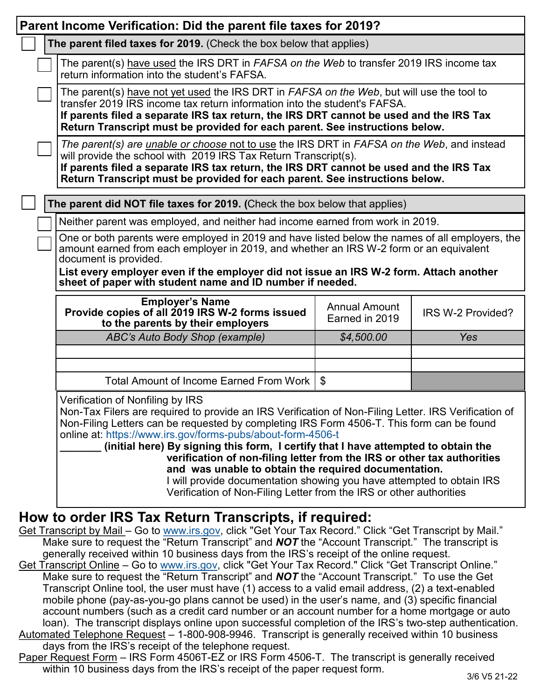| Parent Income Verification: Did the parent file taxes for 2019?                                                                                                                                                                                                                                                                                                                                                                                                                   |                                                                                                                                                                                                                                                                                                                                                                                                                                                                                                                                                                                                                                                                               |                                        |                   |  |  |  |
|-----------------------------------------------------------------------------------------------------------------------------------------------------------------------------------------------------------------------------------------------------------------------------------------------------------------------------------------------------------------------------------------------------------------------------------------------------------------------------------|-------------------------------------------------------------------------------------------------------------------------------------------------------------------------------------------------------------------------------------------------------------------------------------------------------------------------------------------------------------------------------------------------------------------------------------------------------------------------------------------------------------------------------------------------------------------------------------------------------------------------------------------------------------------------------|----------------------------------------|-------------------|--|--|--|
|                                                                                                                                                                                                                                                                                                                                                                                                                                                                                   | The parent filed taxes for 2019. (Check the box below that applies)                                                                                                                                                                                                                                                                                                                                                                                                                                                                                                                                                                                                           |                                        |                   |  |  |  |
|                                                                                                                                                                                                                                                                                                                                                                                                                                                                                   | The parent(s) have used the IRS DRT in FAFSA on the Web to transfer 2019 IRS income tax<br>return information into the student's FAFSA.                                                                                                                                                                                                                                                                                                                                                                                                                                                                                                                                       |                                        |                   |  |  |  |
|                                                                                                                                                                                                                                                                                                                                                                                                                                                                                   | The parent(s) have not yet used the IRS DRT in FAFSA on the Web, but will use the tool to<br>transfer 2019 IRS income tax return information into the student's FAFSA.<br>If parents filed a separate IRS tax return, the IRS DRT cannot be used and the IRS Tax<br>Return Transcript must be provided for each parent. See instructions below.                                                                                                                                                                                                                                                                                                                               |                                        |                   |  |  |  |
|                                                                                                                                                                                                                                                                                                                                                                                                                                                                                   | The parent(s) are <i>unable or choose not to use the IRS DRT in FAFSA on the Web</i> , and instead<br>will provide the school with 2019 IRS Tax Return Transcript(s).<br>If parents filed a separate IRS tax return, the IRS DRT cannot be used and the IRS Tax<br>Return Transcript must be provided for each parent. See instructions below.                                                                                                                                                                                                                                                                                                                                |                                        |                   |  |  |  |
|                                                                                                                                                                                                                                                                                                                                                                                                                                                                                   | The parent did NOT file taxes for 2019. (Check the box below that applies)                                                                                                                                                                                                                                                                                                                                                                                                                                                                                                                                                                                                    |                                        |                   |  |  |  |
|                                                                                                                                                                                                                                                                                                                                                                                                                                                                                   | Neither parent was employed, and neither had income earned from work in 2019.                                                                                                                                                                                                                                                                                                                                                                                                                                                                                                                                                                                                 |                                        |                   |  |  |  |
|                                                                                                                                                                                                                                                                                                                                                                                                                                                                                   | One or both parents were employed in 2019 and have listed below the names of all employers, the<br>amount earned from each employer in 2019, and whether an IRS W-2 form or an equivalent<br>document is provided.                                                                                                                                                                                                                                                                                                                                                                                                                                                            |                                        |                   |  |  |  |
|                                                                                                                                                                                                                                                                                                                                                                                                                                                                                   | List every employer even if the employer did not issue an IRS W-2 form. Attach another<br>sheet of paper with student name and ID number if needed.                                                                                                                                                                                                                                                                                                                                                                                                                                                                                                                           |                                        |                   |  |  |  |
|                                                                                                                                                                                                                                                                                                                                                                                                                                                                                   | <b>Employer's Name</b><br>Provide copies of all 2019 IRS W-2 forms issued<br>to the parents by their employers                                                                                                                                                                                                                                                                                                                                                                                                                                                                                                                                                                | <b>Annual Amount</b><br>Earned in 2019 | IRS W-2 Provided? |  |  |  |
|                                                                                                                                                                                                                                                                                                                                                                                                                                                                                   | ABC's Auto Body Shop (example)                                                                                                                                                                                                                                                                                                                                                                                                                                                                                                                                                                                                                                                | \$4,500.00                             | Yes               |  |  |  |
|                                                                                                                                                                                                                                                                                                                                                                                                                                                                                   |                                                                                                                                                                                                                                                                                                                                                                                                                                                                                                                                                                                                                                                                               |                                        |                   |  |  |  |
|                                                                                                                                                                                                                                                                                                                                                                                                                                                                                   | Total Amount of Income Earned From Work                                                                                                                                                                                                                                                                                                                                                                                                                                                                                                                                                                                                                                       | $\mathfrak{L}$                         |                   |  |  |  |
|                                                                                                                                                                                                                                                                                                                                                                                                                                                                                   | Verification of Nonfiling by IRS<br>Non-Tax Filers are required to provide an IRS Verification of Non-Filing Letter. IRS Verification of<br>Non-Filing Letters can be requested by completing IRS Form 4506-T. This form can be found<br>online at: https://www.irs.gov/forms-pubs/about-form-4506-t<br>(initial here) By signing this form, I certify that I have attempted to obtain the<br>verification of non-filing letter from the IRS or other tax authorities<br>and was unable to obtain the required documentation.<br>I will provide documentation showing you have attempted to obtain IRS<br>Verification of Non-Filing Letter from the IRS or other authorities |                                        |                   |  |  |  |
| How to order IRS Tax Return Transcripts, if required:<br>Get Transcript by Mail - Go to www.irs.gov, click "Get Your Tax Record." Click "Get Transcript by Mail."<br>Make sure to request the "Return Transcript" and <b>NOT</b> the "Account Transcript." The transcript is<br>generally received within 10 business days from the IRS's receipt of the online request.<br>Get Transcript Online – Go to www irs gov click "Get Your Tax Record " Click "Get Transcript Online " |                                                                                                                                                                                                                                                                                                                                                                                                                                                                                                                                                                                                                                                                               |                                        |                   |  |  |  |

- Get Transcript Online Go to [www.irs.gov,](http://www.irs.gov) click "Get Your Tax Record." Click "Get Transcript Online." Make sure to request the "Return Transcript" and *NOT* the "Account Transcript." To use the Get Transcript Online tool, the user must have (1) access to a valid email address, (2) a text-enabled mobile phone (pay-as-you-go plans cannot be used) in the user's name, and (3) specific financial account numbers (such as a credit card number or an account number for a home mortgage or auto loan). The transcript displays online upon successful completion of the IRS's two-step authentication. Automated Telephone Request – 1-800-908-9946. Transcript is generally received within 10 business
- days from the IRS's receipt of the telephone request.
- Paper Request Form IRS Form 4506T-EZ or IRS Form 4506-T. The transcript is generally received within 10 business days from the IRS's receipt of the paper request form.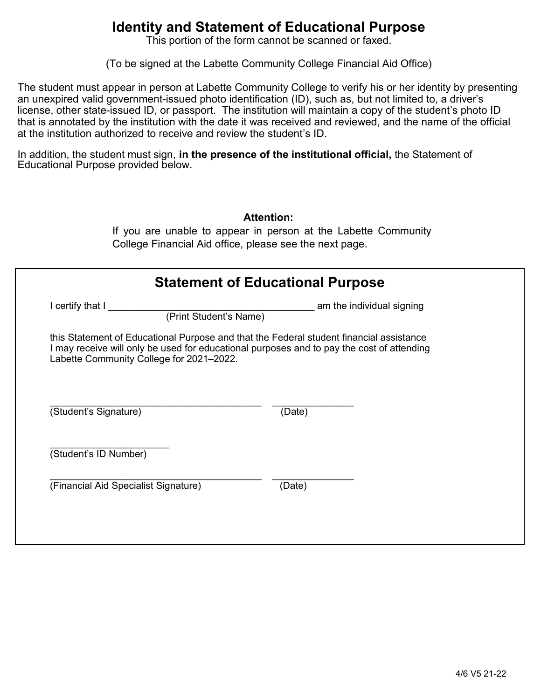## **Identity and Statement of Educational Purpose**

This portion of the form cannot be scanned or faxed.

(To be signed at the Labette Community College Financial Aid Office)

The student must appear in person at Labette Community College to verify his or her identity by presenting an unexpired valid government-issued photo identification (ID), such as, but not limited to, a driver's license, other state-issued ID, or passport. The institution will maintain a copy of the student's photo ID that is annotated by the institution with the date it was received and reviewed, and the name of the official at the institution authorized to receive and review the student's ID.

In addition, the student must sign, **in the presence of the institutional official,** the Statement of Educational Purpose provided below.

|                                            | <b>Statement of Educational Purpose</b>                                                   |
|--------------------------------------------|-------------------------------------------------------------------------------------------|
| I certify that I<br>(Print Student's Name) | am the individual signing                                                                 |
| Labette Community College for 2021-2022.   | I may receive will only be used for educational purposes and to pay the cost of attending |
| (Student's Signature)                      | (Date)                                                                                    |
|                                            |                                                                                           |
| (Student's ID Number)                      |                                                                                           |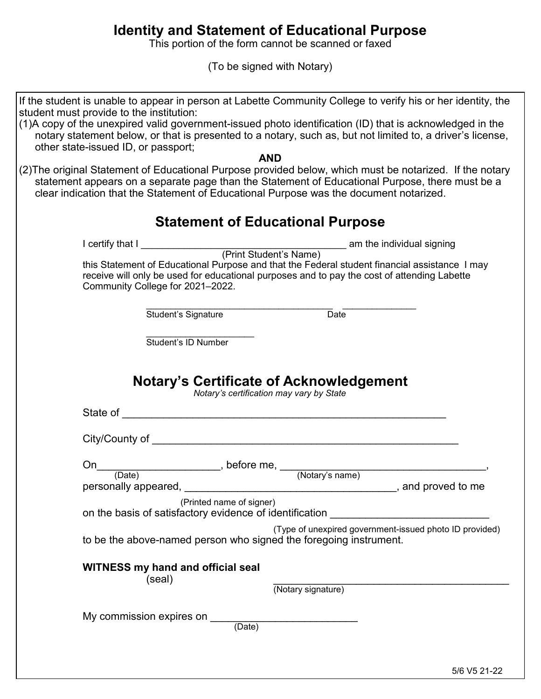## **Identity and Statement of Educational Purpose**

This portion of the form cannot be scanned or faxed

(To be signed with Notary)

| If the student is unable to appear in person at Labette Community College to verify his or her identity, the<br>student must provide to the institution:                                                                                                                                                                                                                                                                                                             |                                                                                                                                                                                              |
|----------------------------------------------------------------------------------------------------------------------------------------------------------------------------------------------------------------------------------------------------------------------------------------------------------------------------------------------------------------------------------------------------------------------------------------------------------------------|----------------------------------------------------------------------------------------------------------------------------------------------------------------------------------------------|
| (1)A copy of the unexpired valid government-issued photo identification (ID) that is acknowledged in the<br>other state-issued ID, or passport;                                                                                                                                                                                                                                                                                                                      | notary statement below, or that is presented to a notary, such as, but not limited to, a driver's license,                                                                                   |
|                                                                                                                                                                                                                                                                                                                                                                                                                                                                      | <b>AND</b>                                                                                                                                                                                   |
| (2) The original Statement of Educational Purpose provided below, which must be notarized. If the notary<br>clear indication that the Statement of Educational Purpose was the document notarized.                                                                                                                                                                                                                                                                   | statement appears on a separate page than the Statement of Educational Purpose, there must be a                                                                                              |
|                                                                                                                                                                                                                                                                                                                                                                                                                                                                      | <b>Statement of Educational Purpose</b>                                                                                                                                                      |
|                                                                                                                                                                                                                                                                                                                                                                                                                                                                      |                                                                                                                                                                                              |
|                                                                                                                                                                                                                                                                                                                                                                                                                                                                      |                                                                                                                                                                                              |
| Community College for 2021-2022.                                                                                                                                                                                                                                                                                                                                                                                                                                     | this Statement of Educational Purpose and that the Federal student financial assistance I may<br>receive will only be used for educational purposes and to pay the cost of attending Labette |
| Student's Signature                                                                                                                                                                                                                                                                                                                                                                                                                                                  | $\overline{Date}$                                                                                                                                                                            |
| Student's ID Number                                                                                                                                                                                                                                                                                                                                                                                                                                                  |                                                                                                                                                                                              |
| State of <u>example and the state of</u> the state of the state of the state of the state of the state of the state of the state of the state of the state of the state of the state of the state of the state of the state of the<br>City/County of the contract of the contract of the contract of the contract of the contract of the contract of the contract of the contract of the contract of the contract of the contract of the contract of the contract of | <b>Notary's Certificate of Acknowledgement</b><br>Notary's certification may vary by State                                                                                                   |
|                                                                                                                                                                                                                                                                                                                                                                                                                                                                      |                                                                                                                                                                                              |
| On<br>__________________, before me, _                                                                                                                                                                                                                                                                                                                                                                                                                               | (Notary's name)                                                                                                                                                                              |
| (Date)                                                                                                                                                                                                                                                                                                                                                                                                                                                               |                                                                                                                                                                                              |
| personally appeared,                                                                                                                                                                                                                                                                                                                                                                                                                                                 | $\_,$ and proved to me                                                                                                                                                                       |
| (Printed name of signer)                                                                                                                                                                                                                                                                                                                                                                                                                                             | on the basis of satisfactory evidence of identification                                                                                                                                      |
| to be the above-named person who signed the foregoing instrument.                                                                                                                                                                                                                                                                                                                                                                                                    | (Type of unexpired government-issued photo ID provided)                                                                                                                                      |
| <b>WITNESS my hand and official seal</b>                                                                                                                                                                                                                                                                                                                                                                                                                             |                                                                                                                                                                                              |
| (seal)                                                                                                                                                                                                                                                                                                                                                                                                                                                               | (Notary signature)                                                                                                                                                                           |
| My commission expires on                                                                                                                                                                                                                                                                                                                                                                                                                                             | (Date)                                                                                                                                                                                       |
|                                                                                                                                                                                                                                                                                                                                                                                                                                                                      |                                                                                                                                                                                              |
|                                                                                                                                                                                                                                                                                                                                                                                                                                                                      | 5/6 V5 21-22                                                                                                                                                                                 |